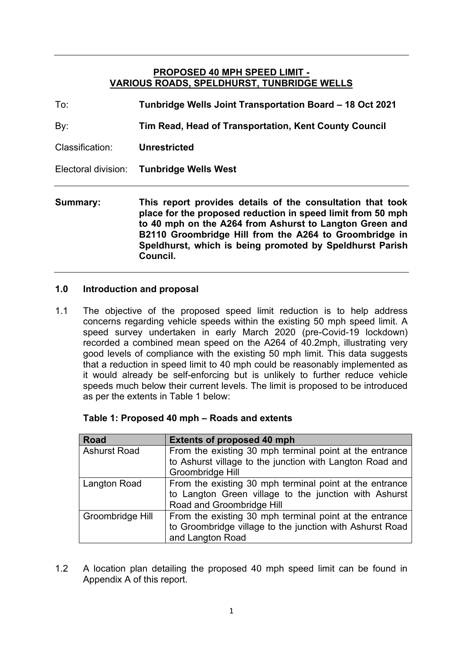#### **PROPOSED 40 MPH SPEED LIMIT - VARIOUS ROADS, SPELDHURST, TUNBRIDGE WELLS**

| Summary:        | This report provides details of the consultation that too |
|-----------------|-----------------------------------------------------------|
|                 | Electoral division: Tunbridge Wells West                  |
| Classification: | <b>Unrestricted</b>                                       |
| By:             | Tim Read, Head of Transportation, Kent County Council     |
| To:             | Tunbridge Wells Joint Transportation Board – 18 Oct 2021  |

**Summary: This report provides details of the consultation that took place for the proposed reduction in speed limit from 50 mph to 40 mph on the A264 from Ashurst to Langton Green and B2110 Groombridge Hill from the A264 to Groombridge in Speldhurst, which is being promoted by Speldhurst Parish Council.**

#### **1.0 Introduction and proposal**

1.1 The objective of the proposed speed limit reduction is to help address concerns regarding vehicle speeds within the existing 50 mph speed limit. A speed survey undertaken in early March 2020 (pre-Covid-19 lockdown) recorded a combined mean speed on the A264 of 40.2mph, illustrating very good levels of compliance with the existing 50 mph limit. This data suggests that a reduction in speed limit to 40 mph could be reasonably implemented as it would already be self-enforcing but is unlikely to further reduce vehicle speeds much below their current levels. The limit is proposed to be introduced as per the extents in Table 1 below:

| <b>Road</b>         | <b>Extents of proposed 40 mph</b>                        |
|---------------------|----------------------------------------------------------|
| <b>Ashurst Road</b> | From the existing 30 mph terminal point at the entrance  |
|                     | to Ashurst village to the junction with Langton Road and |
|                     | Groombridge Hill                                         |
| <b>Langton Road</b> | From the existing 30 mph terminal point at the entrance  |
|                     | to Langton Green village to the junction with Ashurst    |
|                     | Road and Groombridge Hill                                |
| Groombridge Hill    | From the existing 30 mph terminal point at the entrance  |
|                     | to Groombridge village to the junction with Ashurst Road |
|                     | and Langton Road                                         |

1.2 A location plan detailing the proposed 40 mph speed limit can be found in Appendix A of this report.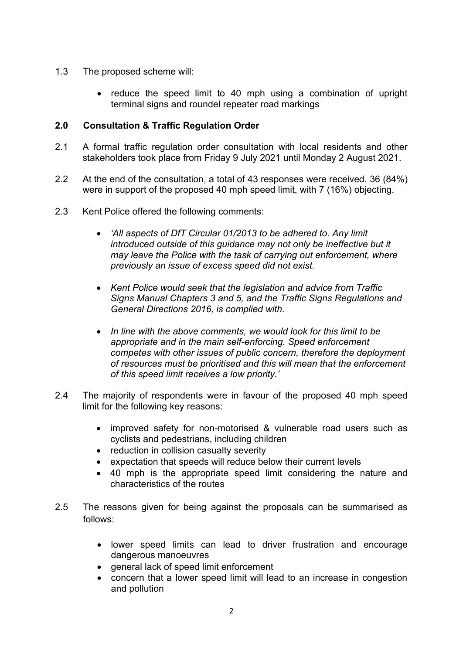- 1.3 The proposed scheme will:
	- reduce the speed limit to 40 mph using a combination of upright terminal signs and roundel repeater road markings

#### **2.0 Consultation & Traffic Regulation Order**

- 2.1 A formal traffic regulation order consultation with local residents and other stakeholders took place from Friday 9 July 2021 until Monday 2 August 2021.
- 2.2 At the end of the consultation, a total of 43 responses were received. 36 (84%) were in support of the proposed 40 mph speed limit, with 7 (16%) objecting.
- 2.3 Kent Police offered the following comments:
	- *'All aspects of DfT Circular 01/2013 to be adhered to. Any limit introduced outside of this guidance may not only be ineffective but it may leave the Police with the task of carrying out enforcement, where previously an issue of excess speed did not exist.*
	- *Kent Police would seek that the legislation and advice from Traffic Signs Manual Chapters 3 and 5, and the Traffic Signs Regulations and General Directions 2016, is complied with.*
	- *In line with the above comments, we would look for this limit to be appropriate and in the main self-enforcing. Speed enforcement competes with other issues of public concern, therefore the deployment of resources must be prioritised and this will mean that the enforcement of this speed limit receives a low priority.'*
- 2.4 The majority of respondents were in favour of the proposed 40 mph speed limit for the following key reasons:
	- improved safety for non-motorised & vulnerable road users such as cyclists and pedestrians, including children
	- reduction in collision casualty severity
	- expectation that speeds will reduce below their current levels
	- 40 mph is the appropriate speed limit considering the nature and characteristics of the routes
- 2.5 The reasons given for being against the proposals can be summarised as follows:
	- lower speed limits can lead to driver frustration and encourage dangerous manoeuvres
	- general lack of speed limit enforcement
	- concern that a lower speed limit will lead to an increase in congestion and pollution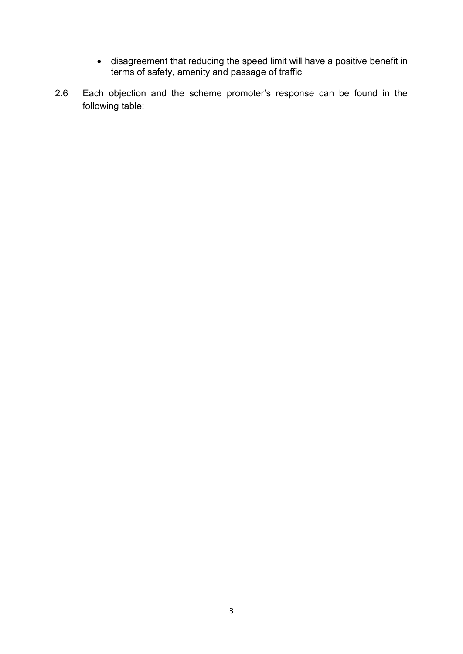- disagreement that reducing the speed limit will have a positive benefit in terms of safety, amenity and passage of traffic
- 2.6 Each objection and the scheme promoter's response can be found in the following table: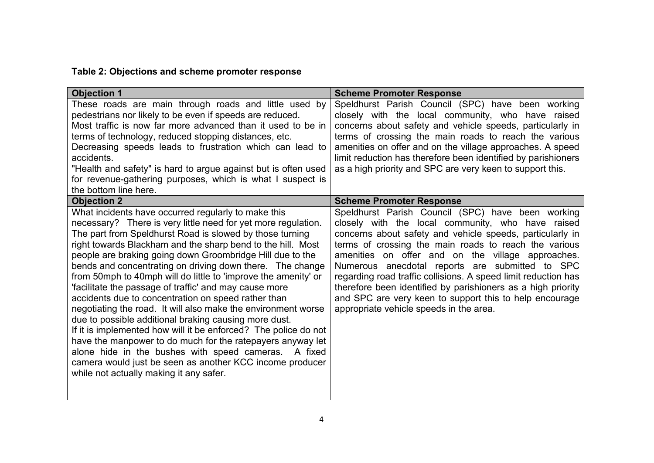# **Table 2: Objections and scheme promoter response**

| <b>Objection 1</b>                                                                                                                                                                                                                                                                                                                                                                                                                                                                                                                                                                                                                                                                                                                                                                                                                                                                                                                                                                     | <b>Scheme Promoter Response</b>                                                                                                                                                                                                                                                                                                                                                                                                                                                                                                                                              |
|----------------------------------------------------------------------------------------------------------------------------------------------------------------------------------------------------------------------------------------------------------------------------------------------------------------------------------------------------------------------------------------------------------------------------------------------------------------------------------------------------------------------------------------------------------------------------------------------------------------------------------------------------------------------------------------------------------------------------------------------------------------------------------------------------------------------------------------------------------------------------------------------------------------------------------------------------------------------------------------|------------------------------------------------------------------------------------------------------------------------------------------------------------------------------------------------------------------------------------------------------------------------------------------------------------------------------------------------------------------------------------------------------------------------------------------------------------------------------------------------------------------------------------------------------------------------------|
| These roads are main through roads and little used by<br>pedestrians nor likely to be even if speeds are reduced.<br>Most traffic is now far more advanced than it used to be in<br>terms of technology, reduced stopping distances, etc.<br>Decreasing speeds leads to frustration which can lead to<br>accidents.<br>"Health and safety" is hard to argue against but is often used<br>for revenue-gathering purposes, which is what I suspect is<br>the bottom line here.                                                                                                                                                                                                                                                                                                                                                                                                                                                                                                           | Speldhurst Parish Council (SPC) have been working<br>closely with the local community, who have raised<br>concerns about safety and vehicle speeds, particularly in<br>terms of crossing the main roads to reach the various<br>amenities on offer and on the village approaches. A speed<br>limit reduction has therefore been identified by parishioners<br>as a high priority and SPC are very keen to support this.                                                                                                                                                      |
| <b>Objection 2</b>                                                                                                                                                                                                                                                                                                                                                                                                                                                                                                                                                                                                                                                                                                                                                                                                                                                                                                                                                                     | <b>Scheme Promoter Response</b>                                                                                                                                                                                                                                                                                                                                                                                                                                                                                                                                              |
| What incidents have occurred regularly to make this<br>necessary? There is very little need for yet more regulation.<br>The part from Speldhurst Road is slowed by those turning<br>right towards Blackham and the sharp bend to the hill. Most<br>people are braking going down Groombridge Hill due to the<br>bends and concentrating on driving down there. The change<br>from 50mph to 40mph will do little to 'improve the amenity' or<br>'facilitate the passage of traffic' and may cause more<br>accidents due to concentration on speed rather than<br>negotiating the road. It will also make the environment worse<br>due to possible additional braking causing more dust.<br>If it is implemented how will it be enforced? The police do not<br>have the manpower to do much for the ratepayers anyway let<br>alone hide in the bushes with speed cameras. A fixed<br>camera would just be seen as another KCC income producer<br>while not actually making it any safer. | Speldhurst Parish Council (SPC) have been working<br>closely with the local community, who have raised<br>concerns about safety and vehicle speeds, particularly in<br>terms of crossing the main roads to reach the various<br>amenities on offer and on the village approaches.<br>Numerous anecdotal reports are submitted to SPC<br>regarding road traffic collisions. A speed limit reduction has<br>therefore been identified by parishioners as a high priority<br>and SPC are very keen to support this to help encourage<br>appropriate vehicle speeds in the area. |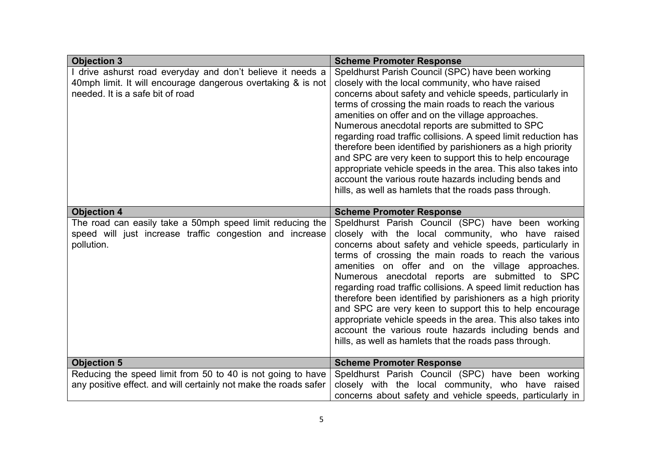| <b>Objection 3</b>                                                                                                                                             | <b>Scheme Promoter Response</b>                                                                                                                                                                                                                                                                                                                                                                                                                                                                                                                                                                                                                                                                                      |  |
|----------------------------------------------------------------------------------------------------------------------------------------------------------------|----------------------------------------------------------------------------------------------------------------------------------------------------------------------------------------------------------------------------------------------------------------------------------------------------------------------------------------------------------------------------------------------------------------------------------------------------------------------------------------------------------------------------------------------------------------------------------------------------------------------------------------------------------------------------------------------------------------------|--|
| I drive ashurst road everyday and don't believe it needs a<br>40mph limit. It will encourage dangerous overtaking & is not<br>needed. It is a safe bit of road | Speldhurst Parish Council (SPC) have been working<br>closely with the local community, who have raised<br>concerns about safety and vehicle speeds, particularly in<br>terms of crossing the main roads to reach the various<br>amenities on offer and on the village approaches.<br>Numerous anecdotal reports are submitted to SPC<br>regarding road traffic collisions. A speed limit reduction has<br>therefore been identified by parishioners as a high priority<br>and SPC are very keen to support this to help encourage<br>appropriate vehicle speeds in the area. This also takes into<br>account the various route hazards including bends and<br>hills, as well as hamlets that the roads pass through. |  |
| <b>Objection 4</b>                                                                                                                                             | <b>Scheme Promoter Response</b>                                                                                                                                                                                                                                                                                                                                                                                                                                                                                                                                                                                                                                                                                      |  |
| The road can easily take a 50mph speed limit reducing the<br>speed will just increase traffic congestion and increase<br>pollution.                            | Speldhurst Parish Council (SPC) have been working<br>closely with the local community, who have raised<br>concerns about safety and vehicle speeds, particularly in<br>terms of crossing the main roads to reach the various<br>amenities on offer and on the village approaches.<br>Numerous anecdotal reports are submitted to SPC<br>regarding road traffic collisions. A speed limit reduction has<br>therefore been identified by parishioners as a high priority<br>and SPC are very keen to support this to help encourage<br>appropriate vehicle speeds in the area. This also takes into<br>account the various route hazards including bends and<br>hills, as well as hamlets that the roads pass through. |  |
| <b>Objection 5</b>                                                                                                                                             | <b>Scheme Promoter Response</b>                                                                                                                                                                                                                                                                                                                                                                                                                                                                                                                                                                                                                                                                                      |  |
| Reducing the speed limit from 50 to 40 is not going to have<br>any positive effect. and will certainly not make the roads safer                                | Speldhurst Parish Council (SPC) have been working<br>closely with the local community, who have raised<br>concerns about safety and vehicle speeds, particularly in                                                                                                                                                                                                                                                                                                                                                                                                                                                                                                                                                  |  |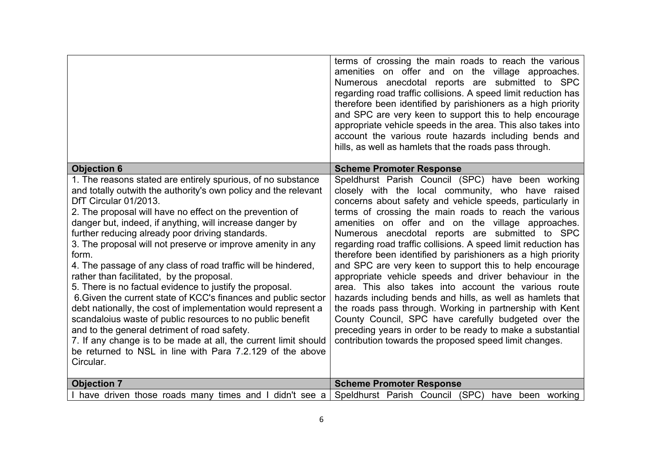|                                                                                                                                                                                                                                                                                                                                                                                                                                                                                                                                                                                                                                                                                                                                                                                                                                                                                                                                                                                      | terms of crossing the main roads to reach the various<br>amenities on offer and on the village approaches.<br>Numerous anecdotal reports are submitted to SPC<br>regarding road traffic collisions. A speed limit reduction has<br>therefore been identified by parishioners as a high priority<br>and SPC are very keen to support this to help encourage<br>appropriate vehicle speeds in the area. This also takes into<br>account the various route hazards including bends and<br>hills, as well as hamlets that the roads pass through.                                                                                                                                                                                                                                                                                                                                                                                                                 |
|--------------------------------------------------------------------------------------------------------------------------------------------------------------------------------------------------------------------------------------------------------------------------------------------------------------------------------------------------------------------------------------------------------------------------------------------------------------------------------------------------------------------------------------------------------------------------------------------------------------------------------------------------------------------------------------------------------------------------------------------------------------------------------------------------------------------------------------------------------------------------------------------------------------------------------------------------------------------------------------|---------------------------------------------------------------------------------------------------------------------------------------------------------------------------------------------------------------------------------------------------------------------------------------------------------------------------------------------------------------------------------------------------------------------------------------------------------------------------------------------------------------------------------------------------------------------------------------------------------------------------------------------------------------------------------------------------------------------------------------------------------------------------------------------------------------------------------------------------------------------------------------------------------------------------------------------------------------|
| <b>Objection 6</b>                                                                                                                                                                                                                                                                                                                                                                                                                                                                                                                                                                                                                                                                                                                                                                                                                                                                                                                                                                   | <b>Scheme Promoter Response</b>                                                                                                                                                                                                                                                                                                                                                                                                                                                                                                                                                                                                                                                                                                                                                                                                                                                                                                                               |
| 1. The reasons stated are entirely spurious, of no substance<br>and totally outwith the authority's own policy and the relevant<br>DfT Circular 01/2013.<br>2. The proposal will have no effect on the prevention of<br>danger but, indeed, if anything, will increase danger by<br>further reducing already poor driving standards.<br>3. The proposal will not preserve or improve amenity in any<br>form.<br>4. The passage of any class of road traffic will be hindered,<br>rather than facilitated, by the proposal.<br>5. There is no factual evidence to justify the proposal.<br>6. Given the current state of KCC's finances and public sector<br>debt nationally, the cost of implementation would represent a<br>scandaloius waste of public resources to no public benefit<br>and to the general detriment of road safety.<br>7. If any change is to be made at all, the current limit should<br>be returned to NSL in line with Para 7.2.129 of the above<br>Circular. | Speldhurst Parish Council (SPC) have been working<br>closely with the local community, who have raised<br>concerns about safety and vehicle speeds, particularly in<br>terms of crossing the main roads to reach the various<br>amenities on offer and on the village approaches.<br>Numerous anecdotal reports are submitted to SPC<br>regarding road traffic collisions. A speed limit reduction has<br>therefore been identified by parishioners as a high priority<br>and SPC are very keen to support this to help encourage<br>appropriate vehicle speeds and driver behaviour in the<br>area. This also takes into account the various route<br>hazards including bends and hills, as well as hamlets that<br>the roads pass through. Working in partnership with Kent<br>County Council, SPC have carefully budgeted over the<br>preceding years in order to be ready to make a substantial<br>contribution towards the proposed speed limit changes. |
| <b>Objection 7</b>                                                                                                                                                                                                                                                                                                                                                                                                                                                                                                                                                                                                                                                                                                                                                                                                                                                                                                                                                                   | <b>Scheme Promoter Response</b>                                                                                                                                                                                                                                                                                                                                                                                                                                                                                                                                                                                                                                                                                                                                                                                                                                                                                                                               |
| I have driven those roads many times and I didn't see a                                                                                                                                                                                                                                                                                                                                                                                                                                                                                                                                                                                                                                                                                                                                                                                                                                                                                                                              | Speldhurst Parish Council (SPC) have been working                                                                                                                                                                                                                                                                                                                                                                                                                                                                                                                                                                                                                                                                                                                                                                                                                                                                                                             |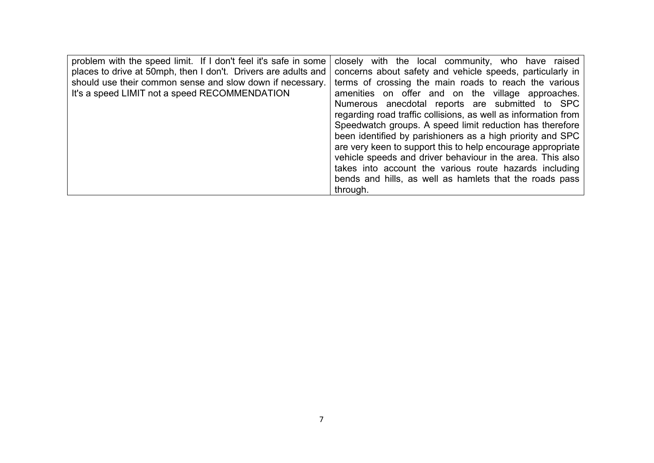| should use their common sense and slow down if necessary.<br>terms of crossing the main roads to reach the various<br>It's a speed LIMIT not a speed RECOMMENDATION<br>amenities on offer and on the village approaches.<br>Numerous anecdotal reports are submitted to SPC<br>regarding road traffic collisions, as well as information from<br>Speedwatch groups. A speed limit reduction has therefore<br>been identified by parishioners as a high priority and SPC<br>are very keen to support this to help encourage appropriate<br>vehicle speeds and driver behaviour in the area. This also<br>takes into account the various route hazards including<br>bends and hills, as well as hamlets that the roads pass | problem with the speed limit. If I don't feel it's safe in some<br>places to drive at 50mph, then I don't. Drivers are adults and | closely with the local community, who have raised<br>concerns about safety and vehicle speeds, particularly in |
|---------------------------------------------------------------------------------------------------------------------------------------------------------------------------------------------------------------------------------------------------------------------------------------------------------------------------------------------------------------------------------------------------------------------------------------------------------------------------------------------------------------------------------------------------------------------------------------------------------------------------------------------------------------------------------------------------------------------------|-----------------------------------------------------------------------------------------------------------------------------------|----------------------------------------------------------------------------------------------------------------|
| through.                                                                                                                                                                                                                                                                                                                                                                                                                                                                                                                                                                                                                                                                                                                  |                                                                                                                                   |                                                                                                                |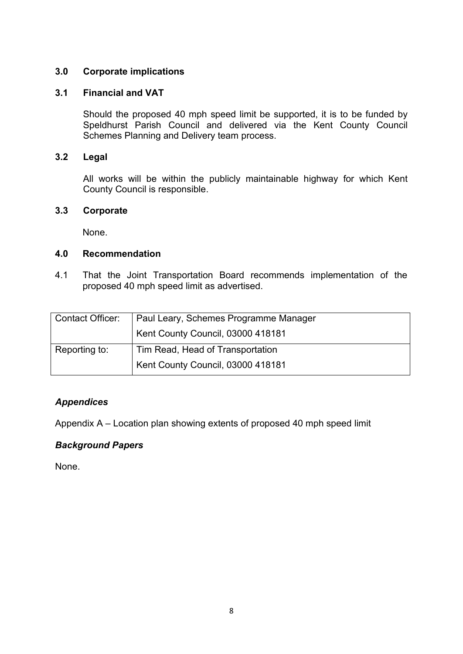## **3.0 Corporate implications**

#### **3.1 Financial and VAT**

Should the proposed 40 mph speed limit be supported, it is to be funded by Speldhurst Parish Council and delivered via the Kent County Council Schemes Planning and Delivery team process.

#### **3.2 Legal**

All works will be within the publicly maintainable highway for which Kent County Council is responsible.

#### **3.3 Corporate**

None.

#### **4.0 Recommendation**

4.1 That the Joint Transportation Board recommends implementation of the proposed 40 mph speed limit as advertised.

| <b>Contact Officer:</b> | Paul Leary, Schemes Programme Manager |
|-------------------------|---------------------------------------|
|                         | Kent County Council, 03000 418181     |
| Reporting to:           | Tim Read, Head of Transportation      |
|                         | Kent County Council, 03000 418181     |

## *Appendices*

Appendix A – Location plan showing extents of proposed 40 mph speed limit

## *Background Papers*

None.